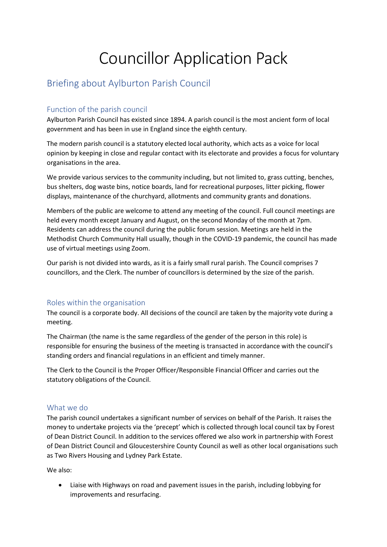# Councillor Application Pack

# Briefing about Aylburton Parish Council

# Function of the parish council

Aylburton Parish Council has existed since 1894. A parish council is the most ancient form of local government and has been in use in England since the eighth century.

The modern parish council is a statutory elected local authority, which acts as a voice for local opinion by keeping in close and regular contact with its electorate and provides a focus for voluntary organisations in the area.

We provide various services to the community including, but not limited to, grass cutting, benches, bus shelters, dog waste bins, notice boards, land for recreational purposes, litter picking, flower displays, maintenance of the churchyard, allotments and community grants and donations.

Members of the public are welcome to attend any meeting of the council. Full council meetings are held every month except January and August, on the second Monday of the month at 7pm. Residents can address the council during the public forum session. Meetings are held in the Methodist Church Community Hall usually, though in the COVID-19 pandemic, the council has made use of virtual meetings using Zoom.

Our parish is not divided into wards, as it is a fairly small rural parish. The Council comprises 7 councillors, and the Clerk. The number of councillors is determined by the size of the parish.

# Roles within the organisation

The council is a corporate body. All decisions of the council are taken by the majority vote during a meeting.

The Chairman (the name is the same regardless of the gender of the person in this role) is responsible for ensuring the business of the meeting is transacted in accordance with the council's standing orders and financial regulations in an efficient and timely manner.

The Clerk to the Council is the Proper Officer/Responsible Financial Officer and carries out the statutory obligations of the Council.

# What we do

The parish council undertakes a significant number of services on behalf of the Parish. It raises the money to undertake projects via the 'precept' which is collected through local council tax by Forest of Dean District Council. In addition to the services offered we also work in partnership with Forest of Dean District Council and Gloucestershire County Council as well as other local organisations such as Two Rivers Housing and Lydney Park Estate.

We also:

• Liaise with Highways on road and pavement issues in the parish, including lobbying for improvements and resurfacing.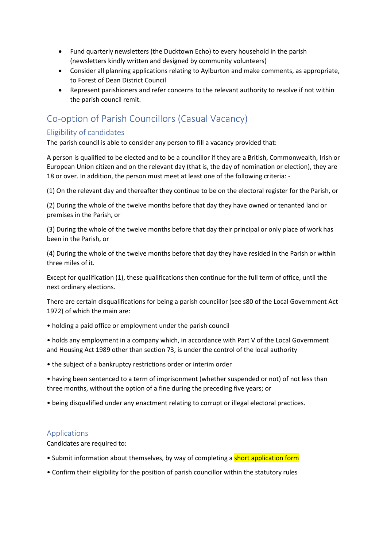- Fund quarterly newsletters (the Ducktown Echo) to every household in the parish (newsletters kindly written and designed by community volunteers)
- Consider all planning applications relating to Aylburton and make comments, as appropriate, to Forest of Dean District Council
- Represent parishioners and refer concerns to the relevant authority to resolve if not within the parish council remit.

# Co-option of Parish Councillors (Casual Vacancy)

# Eligibility of candidates

The parish council is able to consider any person to fill a vacancy provided that:

A person is qualified to be elected and to be a councillor if they are a British, Commonwealth, Irish or European Union citizen and on the relevant day (that is, the day of nomination or election), they are 18 or over. In addition, the person must meet at least one of the following criteria: -

(1) On the relevant day and thereafter they continue to be on the electoral register for the Parish, or

(2) During the whole of the twelve months before that day they have owned or tenanted land or premises in the Parish, or

(3) During the whole of the twelve months before that day their principal or only place of work has been in the Parish, or

(4) During the whole of the twelve months before that day they have resided in the Parish or within three miles of it.

Except for qualification (1), these qualifications then continue for the full term of office, until the next ordinary elections.

There are certain disqualifications for being a parish councillor (see s80 of the Local Government Act 1972) of which the main are:

• holding a paid office or employment under the parish council

• holds any employment in a company which, in accordance with Part V of the Local Government and Housing Act 1989 other than section 73, is under the control of the local authority

• the subject of a bankruptcy restrictions order or interim order

• having been sentenced to a term of imprisonment (whether suspended or not) of not less than three months, without the option of a fine during the preceding five years; or

• being disqualified under any enactment relating to corrupt or illegal electoral practices.

# Applications

Candidates are required to:

- Submit information about themselves, by way of completing a short application form
- Confirm their eligibility for the position of parish councillor within the statutory rules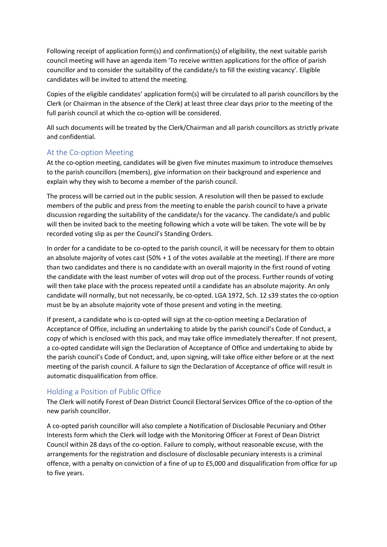Following receipt of application form(s) and confirmation(s) of eligibility, the next suitable parish council meeting will have an agenda item 'To receive written applications for the office of parish councillor and to consider the suitability of the candidate/s to fill the existing vacancy'. Eligible candidates will be invited to attend the meeting.

Copies of the eligible candidates' application form(s) will be circulated to all parish councillors by the Clerk (or Chairman in the absence of the Clerk) at least three clear days prior to the meeting of the full parish council at which the co-option will be considered.

All such documents will be treated by the Clerk/Chairman and all parish councillors as strictly private and confidential.

#### At the Co-option Meeting

At the co-option meeting, candidates will be given five minutes maximum to introduce themselves to the parish councillors (members), give information on their background and experience and explain why they wish to become a member of the parish council.

The process will be carried out in the public session. A resolution will then be passed to exclude members of the public and press from the meeting to enable the parish council to have a private discussion regarding the suitability of the candidate/s for the vacancy. The candidate/s and public will then be invited back to the meeting following which a vote will be taken. The vote will be by recorded voting slip as per the Council's Standing Orders.

In order for a candidate to be co-opted to the parish council, it will be necessary for them to obtain an absolute majority of votes cast (50% + 1 of the votes available at the meeting). If there are more than two candidates and there is no candidate with an overall majority in the first round of voting the candidate with the least number of votes will drop out of the process. Further rounds of voting will then take place with the process repeated until a candidate has an absolute majority. An only candidate will normally, but not necessarily, be co-opted. LGA 1972, Sch. 12 s39 states the co-option must be by an absolute majority vote of those present and voting in the meeting.

If present, a candidate who is co-opted will sign at the co-option meeting a Declaration of Acceptance of Office, including an undertaking to abide by the parish council's Code of Conduct, a copy of which is enclosed with this pack, and may take office immediately thereafter. If not present, a co-opted candidate will sign the Declaration of Acceptance of Office and undertaking to abide by the parish council's Code of Conduct, and, upon signing, will take office either before or at the next meeting of the parish council. A failure to sign the Declaration of Acceptance of office will result in automatic disqualification from office.

#### Holding a Position of Public Office

The Clerk will notify Forest of Dean District Council Electoral Services Office of the co-option of the new parish councillor.

A co-opted parish councillor will also complete a Notification of Disclosable Pecuniary and Other Interests form which the Clerk will lodge with the Monitoring Officer at Forest of Dean District Council within 28 days of the co-option. Failure to comply, without reasonable excuse, with the arrangements for the registration and disclosure of disclosable pecuniary interests is a criminal offence, with a penalty on conviction of a fine of up to £5,000 and disqualification from office for up to five years.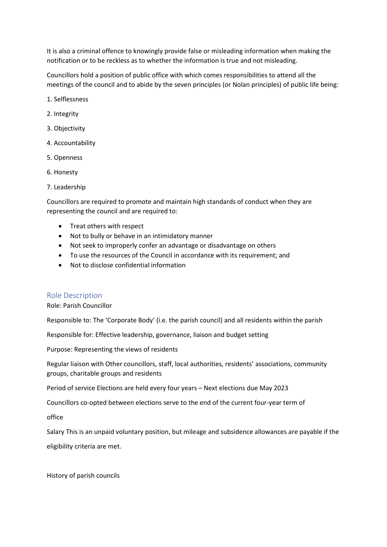It is also a criminal offence to knowingly provide false or misleading information when making the notification or to be reckless as to whether the information is true and not misleading.

Councillors hold a position of public office with which comes responsibilities to attend all the meetings of the council and to abide by the seven principles (or Nolan principles) of public life being:

- 1. Selflessness
- 2. Integrity
- 3. Objectivity
- 4. Accountability
- 5. Openness
- 6. Honesty
- 7. Leadership

Councillors are required to promote and maintain high standards of conduct when they are representing the council and are required to:

- Treat others with respect
- Not to bully or behave in an intimidatory manner
- Not seek to improperly confer an advantage or disadvantage on others
- To use the resources of the Council in accordance with its requirement; and
- Not to disclose confidential information

#### Role Description

#### Role: Parish Councillor

Responsible to: The 'Corporate Body' (i.e. the parish council) and all residents within the parish

Responsible for: Effective leadership, governance, liaison and budget setting

Purpose: Representing the views of residents

Regular liaison with Other councillors, staff, local authorities, residents' associations, community groups, charitable groups and residents

Period of service Elections are held every four years – Next elections due May 2023

Councillors co-opted between elections serve to the end of the current four-year term of

office

Salary This is an unpaid voluntary position, but mileage and subsidence allowances are payable if the eligibility criteria are met.

History of parish councils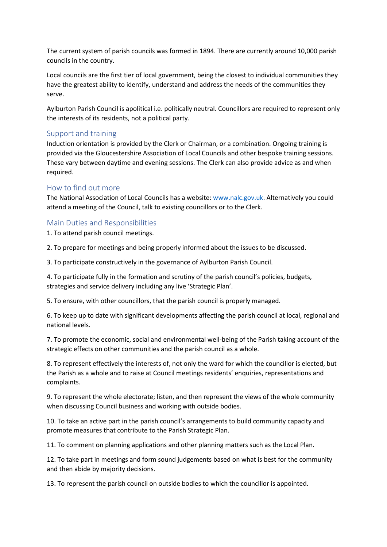The current system of parish councils was formed in 1894. There are currently around 10,000 parish councils in the country.

Local councils are the first tier of local government, being the closest to individual communities they have the greatest ability to identify, understand and address the needs of the communities they serve.

Aylburton Parish Council is apolitical i.e. politically neutral. Councillors are required to represent only the interests of its residents, not a political party.

#### Support and training

Induction orientation is provided by the Clerk or Chairman, or a combination. Ongoing training is provided via the Gloucestershire Association of Local Councils and other bespoke training sessions. These vary between daytime and evening sessions. The Clerk can also provide advice as and when required.

# How to find out more

The National Association of Local Councils has a website: [www.nalc.gov.uk.](http://www.nalc.gov.uk/) Alternatively you could attend a meeting of the Council, talk to existing councillors or to the Clerk.

# Main Duties and Responsibilities

1. To attend parish council meetings.

2. To prepare for meetings and being properly informed about the issues to be discussed.

3. To participate constructively in the governance of Aylburton Parish Council.

4. To participate fully in the formation and scrutiny of the parish council's policies, budgets, strategies and service delivery including any live 'Strategic Plan'.

5. To ensure, with other councillors, that the parish council is properly managed.

6. To keep up to date with significant developments affecting the parish council at local, regional and national levels.

7. To promote the economic, social and environmental well-being of the Parish taking account of the strategic effects on other communities and the parish council as a whole.

8. To represent effectively the interests of, not only the ward for which the councillor is elected, but the Parish as a whole and to raise at Council meetings residents' enquiries, representations and complaints.

9. To represent the whole electorate; listen, and then represent the views of the whole community when discussing Council business and working with outside bodies.

10. To take an active part in the parish council's arrangements to build community capacity and promote measures that contribute to the Parish Strategic Plan.

11. To comment on planning applications and other planning matters such as the Local Plan.

12. To take part in meetings and form sound judgements based on what is best for the community and then abide by majority decisions.

13. To represent the parish council on outside bodies to which the councillor is appointed.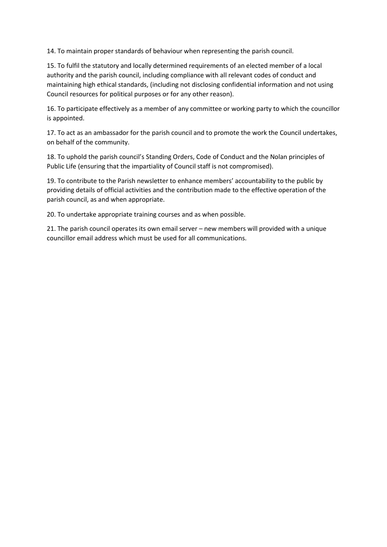14. To maintain proper standards of behaviour when representing the parish council.

15. To fulfil the statutory and locally determined requirements of an elected member of a local authority and the parish council, including compliance with all relevant codes of conduct and maintaining high ethical standards, (including not disclosing confidential information and not using Council resources for political purposes or for any other reason).

16. To participate effectively as a member of any committee or working party to which the councillor is appointed.

17. To act as an ambassador for the parish council and to promote the work the Council undertakes, on behalf of the community.

18. To uphold the parish council's Standing Orders, Code of Conduct and the Nolan principles of Public Life (ensuring that the impartiality of Council staff is not compromised).

19. To contribute to the Parish newsletter to enhance members' accountability to the public by providing details of official activities and the contribution made to the effective operation of the parish council, as and when appropriate.

20. To undertake appropriate training courses and as when possible.

21. The parish council operates its own email server – new members will provided with a unique councillor email address which must be used for all communications.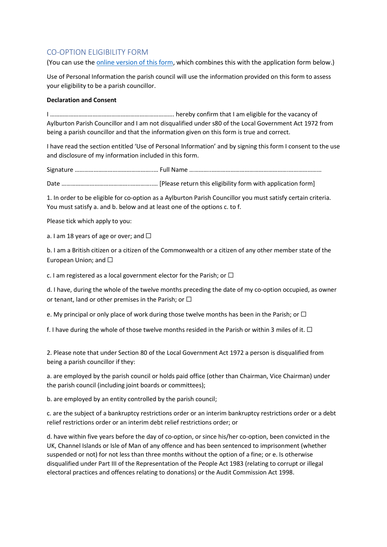#### CO-OPTION ELIGIBILITY FORM

(You can use th[e online version of this form,](https://docs.google.com/forms/d/e/1FAIpQLSd6xZeoMZ20z0YeS9rVshkKpWUboc-spyCxS-djD7adlbuomA/viewform?usp=sf_link) which combines this with the application form below.)

Use of Personal Information the parish council will use the information provided on this form to assess your eligibility to be a parish councillor.

#### **Declaration and Consent**

I ……………………………………………………………………. hereby confirm that I am eligible for the vacancy of Aylburton Parish Councillor and I am not disqualified under s80 of the Local Government Act 1972 from being a parish councillor and that the information given on this form is true and correct.

I have read the section entitled 'Use of Personal Information' and by signing this form I consent to the use and disclosure of my information included in this form.

Signature …………………………………………..… Full Name …………..………………………………………….…………………

Date ……………………………………..…………..… [Please return this eligibility form with application form]

1. In order to be eligible for co-option as a Aylburton Parish Councillor you must satisfy certain criteria. You must satisfy a. and b. below and at least one of the options c. to f.

Please tick which apply to you:

a. I am 18 years of age or over; and  $\Box$ 

b. I am a British citizen or a citizen of the Commonwealth or a citizen of any other member state of the European Union; and  $\Box$ 

c. I am registered as a local government elector for the Parish; or  $\Box$ 

d. I have, during the whole of the twelve months preceding the date of my co-option occupied, as owner or tenant, land or other premises in the Parish; or  $\Box$ 

e. My principal or only place of work during those twelve months has been in the Parish; or  $\Box$ 

f. I have during the whole of those twelve months resided in the Parish or within 3 miles of it.  $\Box$ 

2. Please note that under Section 80 of the Local Government Act 1972 a person is disqualified from being a parish councillor if they:

a. are employed by the parish council or holds paid office (other than Chairman, Vice Chairman) under the parish council (including joint boards or committees);

b. are employed by an entity controlled by the parish council;

c. are the subject of a bankruptcy restrictions order or an interim bankruptcy restrictions order or a debt relief restrictions order or an interim debt relief restrictions order; or

d. have within five years before the day of co-option, or since his/her co-option, been convicted in the UK, Channel Islands or Isle of Man of any offence and has been sentenced to imprisonment (whether suspended or not) for not less than three months without the option of a fine; or e. Is otherwise disqualified under Part III of the Representation of the People Act 1983 (relating to corrupt or illegal electoral practices and offences relating to donations) or the Audit Commission Act 1998.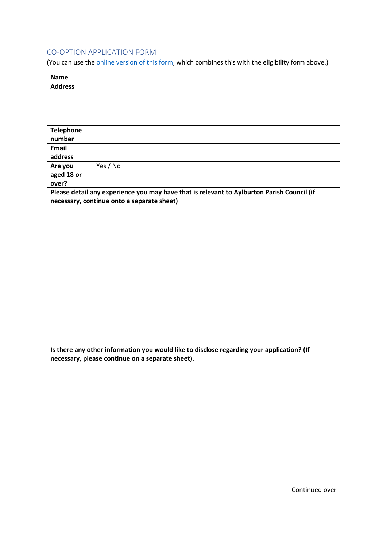# CO-OPTION APPLICATION FORM

(You can use the **online version of this form**, which combines this with the eligibility form above.)

| <b>Name</b>      |                                                                                                                                               |
|------------------|-----------------------------------------------------------------------------------------------------------------------------------------------|
| <b>Address</b>   |                                                                                                                                               |
|                  |                                                                                                                                               |
|                  |                                                                                                                                               |
|                  |                                                                                                                                               |
|                  |                                                                                                                                               |
| <b>Telephone</b> |                                                                                                                                               |
| number           |                                                                                                                                               |
| Email            |                                                                                                                                               |
| address          |                                                                                                                                               |
| Are you          | Yes / No                                                                                                                                      |
| aged 18 or       |                                                                                                                                               |
| over?            |                                                                                                                                               |
|                  | Please detail any experience you may have that is relevant to Aylburton Parish Council (if                                                    |
|                  | necessary, continue onto a separate sheet)                                                                                                    |
|                  |                                                                                                                                               |
|                  |                                                                                                                                               |
|                  |                                                                                                                                               |
|                  |                                                                                                                                               |
|                  |                                                                                                                                               |
|                  |                                                                                                                                               |
|                  |                                                                                                                                               |
|                  |                                                                                                                                               |
|                  |                                                                                                                                               |
|                  |                                                                                                                                               |
|                  |                                                                                                                                               |
|                  |                                                                                                                                               |
|                  |                                                                                                                                               |
|                  |                                                                                                                                               |
|                  |                                                                                                                                               |
|                  |                                                                                                                                               |
|                  |                                                                                                                                               |
|                  | Is there any other information you would like to disclose regarding your application? (If<br>necessary, please continue on a separate sheet). |
|                  |                                                                                                                                               |
|                  |                                                                                                                                               |
|                  |                                                                                                                                               |
|                  |                                                                                                                                               |
|                  |                                                                                                                                               |
|                  |                                                                                                                                               |
|                  |                                                                                                                                               |
|                  |                                                                                                                                               |
|                  |                                                                                                                                               |
|                  |                                                                                                                                               |
|                  |                                                                                                                                               |
|                  |                                                                                                                                               |
|                  |                                                                                                                                               |
|                  |                                                                                                                                               |
|                  |                                                                                                                                               |
|                  | Continued over                                                                                                                                |